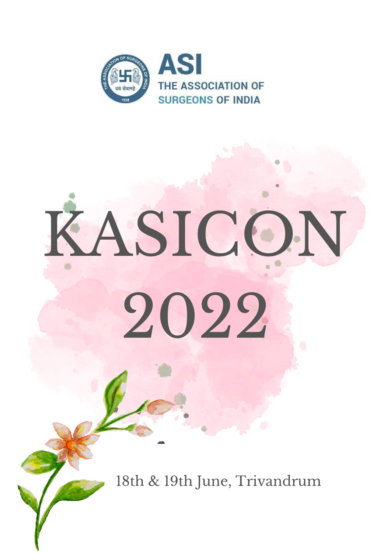



# KASICON

# 2022

# 18th & 19th June, Trivandrum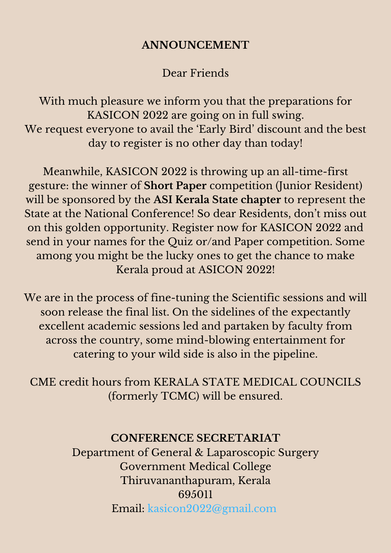#### **ANNOUNCEMENT**

#### Dear Friends

With much pleasure we inform you that the preparations for KASICON 2022 are going on in full swing. We request everyone to avail the 'Early Bird' discount and the best day to register is no other day than today!

Meanwhile, KASICON 2022 is throwing up an all-time-first gesture: the winner of **Short Paper** competition (Junior Resident) will be sponsored by the **ASI Kerala State chapter** to represent the State at the National Conference! So dear Residents, don 't miss out on this golden opportunity. Register now for KASICON 2022 and send in your names for the Quiz or/and Paper competition. Some among you might be the lucky ones to get the chance to make Kerala proud at ASICON 2022!

We are in the process of fine-tuning the Scientific sessions and will soon release the final list. On the sidelines of the expectantly excellent academic sessions led and partaken by faculty from across the country, some mind-blowing entertainment for catering to your wild side is also in the pipeline.

CME credit hours from KERALA STATE MEDICAL COUNCILS (formerly TCMC) will be ensured.

### **CONFERENCE SECRETARIAT** Department of General & Laparoscopic Surgery Government Medical College Thiruvananthapuram, Kerala 695011 Email: kasicon2022@gmail.com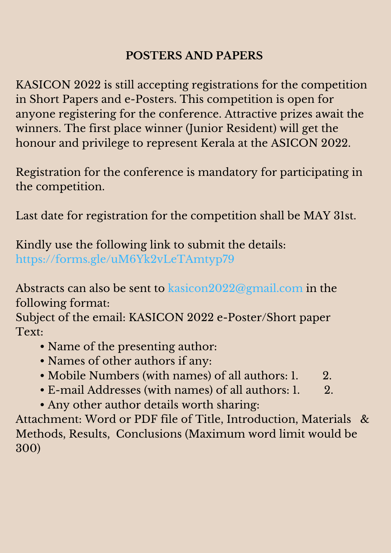# **POSTERS AND PAPERS**

KASICON 2022 is still accepting registrations for the competition in Short Papers and e-Posters. This competition is open for anyone registering for the conference. Attractive prizes await the winners. The first place winner (Junior Resident) will get the honour and privilege to represent Kerala at the ASICON 2022.

Registration for the conference is mandatory for participating in the competition.

Last date for registration for the competition shall be MAY 31st.

Kindly use the following link to submit the details: https://forms.gle/uM6Yk2vLeTAmtyp79

Abstracts can also be sent to kasicon2022@gmail.com in the

following format:

## Subject of the email: KASICON 2022 e-Poster/Short paper Text:

- Name of the presenting author:
- Names of other authors if any:
- Mobile Numbers (with names) of all authors: 1. 2.
- E-mail Addresses (with names) of all authors: 1. 2.
- Any other author details worth sharing:

Attachment: Word or PDF file of Title, Introduction, Materials & Methods, Results, Conclusions (Maximum word limit would be 300)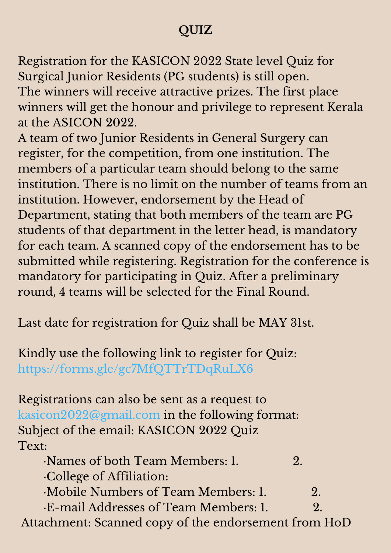# **QUIZ**

Registration for the KASICON 2022 State level Quiz for Surgical Junior Residents (PG students) is still open. The winners will receive attractive prizes. The first place winners will get the honour and privilege to represent Kerala at the ASICON 2022.

A team of two Junior Residents in General Surgery can register, for the competition, from one institution. The members of a particular team should belong to the same institution. There is no limit on the number of teams from an institution. However, endorsement by the Head of Department, stating that both members of the team are PG students of that department in the letter head, is mandatory for each team. A scanned copy of the endorsement has to be submitted while registering. Registration for the conference is mandatory for participating in Quiz. After a preliminary round, 4 teams will be selected for the Final Round.

Last date for registration for Quiz shall be MAY 31st.

Kindly use the following link to register for Quiz: https://forms.gle/gc7MfQTTrTDqRuLX6

Registrations can also be sent as a request to kasicon2022@gmail.com in the following format: Subject of the email: KASICON 2022 Quiz Text:

- ·Names of both Team Members: 1. 2. ·College of Affiliation:
- ·Mobile Numbers of Team Members: 1. 2. ·E-mail Addresses of Team Members: 1. 2. Attachment: Scanned copy of the endorsement from HoD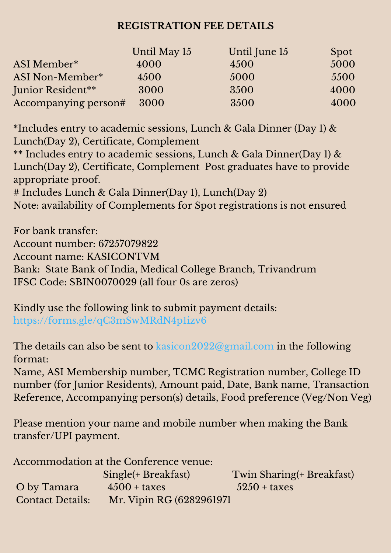#### **REGISTRATION FEE DETAILS**

|                      | Until May 15 | Until June 15 | <b>Spot</b> |
|----------------------|--------------|---------------|-------------|
| ASI Member*          | 4000         | 4500          | 5000        |
| ASI Non-Member*      | 4500         | 5000          | 5500        |
| Junior Resident**    | 3000         | 3500          | 4000        |
| Accompanying person# | 3000         | 3500          | 4000        |

\*Includes entry to academic sessions, Lunch & Gala Dinner (Day 1) & Lunch(Day 2), Certificate, Complement

\*\* Includes entry to academic sessions, Lunch & Gala Dinner(Day 1) & Lunch(Day 2), Certificate, Complement Post graduates have to provide appropriate proof.

# Includes Lunch & Gala Dinner(Day 1), Lunch(Day 2)

Note: availability of Complements for Spot registrations is not ensured

For bank transfer: Account number: 67257079822 Account name: KASICONTVM Bank: State Bank of India, Medical College Branch, Trivandrum IFSC Code: SBIN0070029 (all four 0s are zeros)

Kindly use the following link to submit payment details: https://forms.gle/qC3mSwMRdN4p1izv6

The details can also be sent to kasicon2022@gmail.com in the following format:

Name, ASI Membership number, TCMC Registration number, College ID number (for Junior Residents), Amount paid, Date, Bank name, Transaction Reference, Accompanying person(s) details, Food preference (Veg/Non Veg)

Please mention your name and mobile number when making the Bank transfer/UPI payment.

Accommodation at the Conference venue: Single(+ Breakfast) Twin Sharing(+ Breakfast) O by Tamara  $4500 + \text{taxes}$   $5250 + \text{taxes}$ Contact Details: Mr. Vipin RG (6282961971